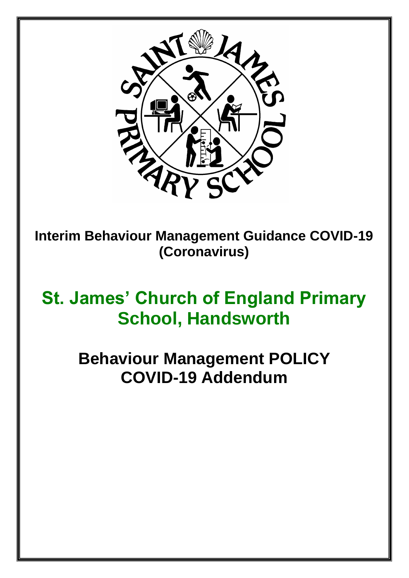

**Interim Behaviour Management Guidance COVID-19 (Coronavirus)**

# **St. James' Church of England Primary School, Handsworth**

**Behaviour Management POLICY COVID-19 Addendum**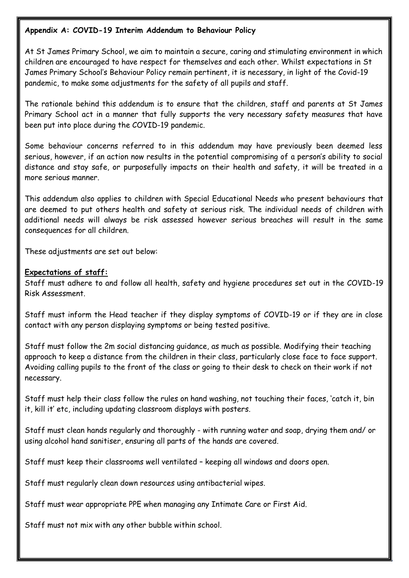#### **Appendix A: COVID-19 Interim Addendum to Behaviour Policy**

At St James Primary School, we aim to maintain a secure, caring and stimulating environment in which children are encouraged to have respect for themselves and each other. Whilst expectations in St James Primary School's Behaviour Policy remain pertinent, it is necessary, in light of the Covid-19 pandemic, to make some adjustments for the safety of all pupils and staff.

The rationale behind this addendum is to ensure that the children, staff and parents at St James Primary School act in a manner that fully supports the very necessary safety measures that have been put into place during the COVID-19 pandemic.

Some behaviour concerns referred to in this addendum may have previously been deemed less serious, however, if an action now results in the potential compromising of a person's ability to social distance and stay safe, or purposefully impacts on their health and safety, it will be treated in a more serious manner.

This addendum also applies to children with Special Educational Needs who present behaviours that are deemed to put others health and safety at serious risk. The individual needs of children with additional needs will always be risk assessed however serious breaches will result in the same consequences for all children.

These adjustments are set out below:

#### **Expectations of staff:**

Staff must adhere to and follow all health, safety and hygiene procedures set out in the COVID-19 Risk Assessment.

Staff must inform the Head teacher if they display symptoms of COVID-19 or if they are in close contact with any person displaying symptoms or being tested positive.

Staff must follow the 2m social distancing guidance, as much as possible. Modifying their teaching approach to keep a distance from the children in their class, particularly close face to face support. Avoiding calling pupils to the front of the class or going to their desk to check on their work if not necessary.

Staff must help their class follow the rules on hand washing, not touching their faces, 'catch it, bin it, kill it' etc, including updating classroom displays with posters.

Staff must clean hands regularly and thoroughly - with running water and soap, drying them and/ or using alcohol hand sanitiser, ensuring all parts of the hands are covered.

Staff must keep their classrooms well ventilated – keeping all windows and doors open.

Staff must regularly clean down resources using antibacterial wipes.

Staff must wear appropriate PPE when managing any Intimate Care or First Aid.

Staff must not mix with any other bubble within school.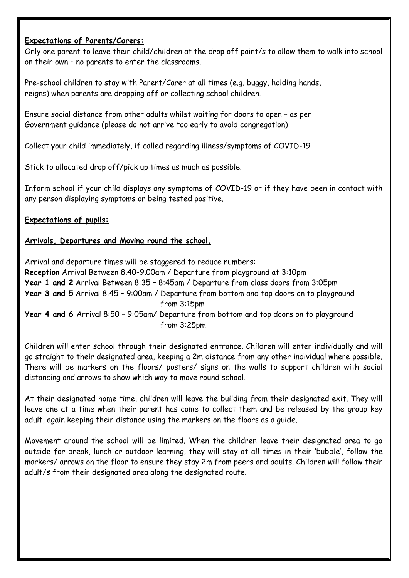#### **Expectations of Parents/Carers:**

Only one parent to leave their child/children at the drop off point/s to allow them to walk into school on their own – no parents to enter the classrooms.

Pre-school children to stay with Parent/Carer at all times (e.g. buggy, holding hands, reigns) when parents are dropping off or collecting school children.

Ensure social distance from other adults whilst waiting for doors to open – as per Government guidance (please do not arrive too early to avoid congregation)

Collect your child immediately, if called regarding illness/symptoms of COVID-19

Stick to allocated drop off/pick up times as much as possible.

Inform school if your child displays any symptoms of COVID-19 or if they have been in contact with any person displaying symptoms or being tested positive.

# **Expectations of pupils:**

## **Arrivals, Departures and Moving round the school.**

Arrival and departure times will be staggered to reduce numbers: **Reception** Arrival Between 8.40-9.00am / Departure from playground at 3:10pm **Year 1 and 2** Arrival Between 8:35 – 8:45am / Departure from class doors from 3:05pm **Year 3 and 5** Arrival 8:45 – 9:00am / Departure from bottom and top doors on to playground from 3:15pm **Year 4 and 6** Arrival 8:50 – 9:05am/ Departure from bottom and top doors on to playground from 3:25pm

Children will enter school through their designated entrance. Children will enter individually and will go straight to their designated area, keeping a 2m distance from any other individual where possible. There will be markers on the floors/ posters/ signs on the walls to support children with social distancing and arrows to show which way to move round school.

At their designated home time, children will leave the building from their designated exit. They will leave one at a time when their parent has come to collect them and be released by the group key adult, again keeping their distance using the markers on the floors as a guide.

Movement around the school will be limited. When the children leave their designated area to go outside for break, lunch or outdoor learning, they will stay at all times in their 'bubble', follow the markers/ arrows on the floor to ensure they stay 2m from peers and adults. Children will follow their adult/s from their designated area along the designated route.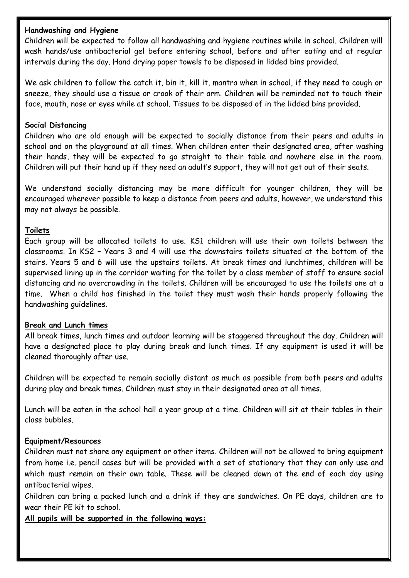#### **Handwashing and Hygiene**

Children will be expected to follow all handwashing and hygiene routines while in school. Children will wash hands/use antibacterial gel before entering school, before and after eating and at regular intervals during the day. Hand drying paper towels to be disposed in lidded bins provided.

We ask children to follow the catch it, bin it, kill it, mantra when in school, if they need to cough or sneeze, they should use a tissue or crook of their arm. Children will be reminded not to touch their face, mouth, nose or eyes while at school. Tissues to be disposed of in the lidded bins provided.

#### **Social Distancing**

Children who are old enough will be expected to socially distance from their peers and adults in school and on the playground at all times. When children enter their designated area, after washing their hands, they will be expected to go straight to their table and nowhere else in the room. Children will put their hand up if they need an adult's support, they will not get out of their seats.

We understand socially distancing may be more difficult for younger children, they will be encouraged wherever possible to keep a distance from peers and adults, however, we understand this may not always be possible.

## **Toilets**

Each group will be allocated toilets to use. KS1 children will use their own toilets between the classrooms. In KS2 – Years 3 and 4 will use the downstairs toilets situated at the bottom of the stairs. Years 5 and 6 will use the upstairs toilets. At break times and lunchtimes, children will be supervised lining up in the corridor waiting for the toilet by a class member of staff to ensure social distancing and no overcrowding in the toilets. Children will be encouraged to use the toilets one at a time. When a child has finished in the toilet they must wash their hands properly following the handwashing guidelines.

#### **Break and Lunch times**

All break times, lunch times and outdoor learning will be staggered throughout the day. Children will have a designated place to play during break and lunch times. If any equipment is used it will be cleaned thoroughly after use.

Children will be expected to remain socially distant as much as possible from both peers and adults during play and break times. Children must stay in their designated area at all times.

Lunch will be eaten in the school hall a year group at a time. Children will sit at their tables in their class bubbles.

#### **Equipment/Resources**

Children must not share any equipment or other items. Children will not be allowed to bring equipment from home i.e. pencil cases but will be provided with a set of stationary that they can only use and which must remain on their own table. These will be cleaned down at the end of each day using antibacterial wipes.

Children can bring a packed lunch and a drink if they are sandwiches. On PE days, children are to wear their PE kit to school.

**All pupils will be supported in the following ways:**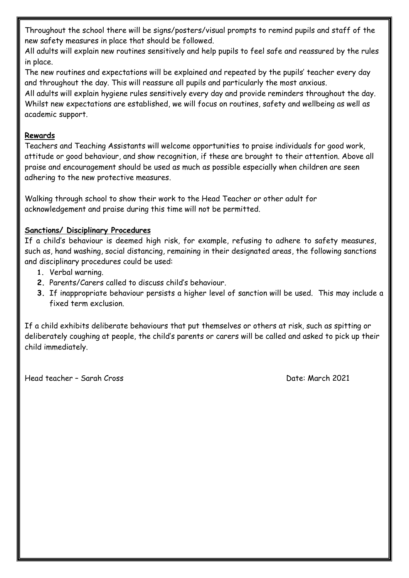Throughout the school there will be signs/posters/visual prompts to remind pupils and staff of the new safety measures in place that should be followed.

All adults will explain new routines sensitively and help pupils to feel safe and reassured by the rules in place.

The new routines and expectations will be explained and repeated by the pupils' teacher every day and throughout the day. This will reassure all pupils and particularly the most anxious.

All adults will explain hygiene rules sensitively every day and provide reminders throughout the day. Whilst new expectations are established, we will focus on routines, safety and wellbeing as well as academic support.

## **Rewards**

Teachers and Teaching Assistants will welcome opportunities to praise individuals for good work, attitude or good behaviour, and show recognition, if these are brought to their attention. Above all praise and encouragement should be used as much as possible especially when children are seen adhering to the new protective measures.

Walking through school to show their work to the Head Teacher or other adult for acknowledgement and praise during this time will not be permitted.

# **Sanctions/ Disciplinary Procedures**

If a child's behaviour is deemed high risk, for example, refusing to adhere to safety measures, such as, hand washing, social distancing, remaining in their designated areas, the following sanctions and disciplinary procedures could be used:

- **1.** Verbal warning.
- **2.** Parents/Carers called to discuss child's behaviour.
- **3.** If inappropriate behaviour persists a higher level of sanction will be used. This may include a fixed term exclusion.

If a child exhibits deliberate behaviours that put themselves or others at risk, such as spitting or deliberately coughing at people, the child's parents or carers will be called and asked to pick up their child immediately.

Head teacher – Sarah Cross Date: March 2021